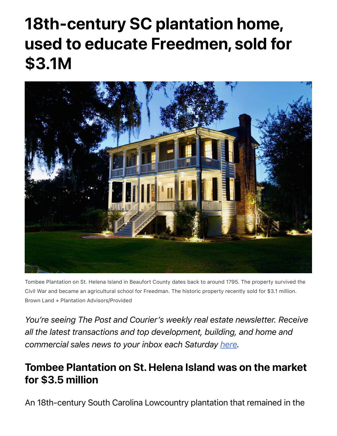## 18th-century SC plantation home, used to educate Freedmen, sold for \$3.1M



Tombee Plantation on St. Helena Island in Beaufort County dates back to around 1795. The property survived the Civil War and became an agricultural school for Freedman. The historic property recently sold for \$3.1 million. Brown Land + Plantation Advisors/Provided

*You're seeing The Post and Courier's weekly real estate newsletter. Receive all the latest transactions and top development, building, and home and commercial sales news to your inbox each Saturday [here.](https://www.postandcourier.com/realestate-newsletter)*

## Tombee Plantation on St. Helena Island was on the market for \$3.5 million

An 18th-century South Carolina Lowcountry plantation that remained in the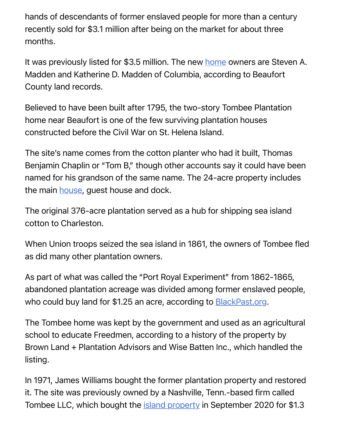hands of descendants of former enslaved people for more than a century recently sold for \$3.1 million after being on the market for about three months.

It was previously listed for \$3.5 million. The new [home](https://www.postandcourier.com/business/real_estate/sc-home-sales-climb-to-new-record-in-21-rising-interest-rates-could-temper-buying/article_f1e7cea0-758f-11ec-865e-77c1c093fa2c.html) owners are Steven A. Madden and Katherine D. Madden of Columbia, according to Beaufort County land records.

Believed to have been built after 1795, the two-story Tombee Plantation home near Beaufort is one of the few surviving plantation houses constructed before the Civil War on St. Helena Island.

The site's name comes from the cotton planter who had it built, Thomas Benjamin Chaplin or "Tom B," though other accounts say it could have been named for his grandson of the same name. The 24-acre property includes the main **house**, guest [house](https://www.postandcourier.com/business/real_estate/charleston-home-show-returns-after-pandemic-hiatus-boston-firm-buys-cainhoy-apartments/article_8c1f8468-6410-11ec-90e1-330373c1edf2.html) and dock.

The original 376-acre plantation served as a hub for shipping sea island cotton to Charleston.

When Union troops seized the sea island in 1861, the owners of Tombee fled as did many other plantation owners.

As part of what was called the "Port Royal Experiment" from 1862-1865, abandoned plantation acreage was divided among former enslaved people, who could buy land for \$1.25 an acre, according to **BlackPast.org**.

The Tombee home was kept by the government and used as an agricultural school to educate Freedmen, according to a history of the property by Brown Land + Plantation Advisors and Wise Batten Inc., which handled the listing.

In 1971, James Williams bought the former plantation property and restored it. The site was previously owned by a Nashville, Tenn.-based firm called Tombee LLC, which bought the [island property](https://www.postandcourier.com/business/real_estate/hoopstick-island-on-johns-island-near-charleston-sells-for-7-5m/article_9166f034-798f-11ec-901d-eb63fda01ffd.html) in September 2020 for \$1.3